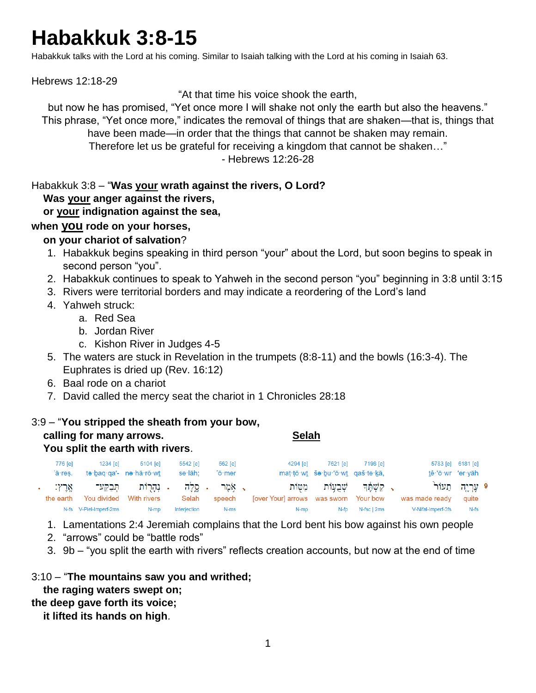# **Habakkuk 3:8-15**

Habakkuk talks with the Lord at his coming. Similar to Isaiah talking with the Lord at his coming in Isaiah 63.

Hebrews 12:18-29

"At that time his voice shook the earth,

but now he has promised, "Yet once more I will shake not only the earth but also the heavens." This phrase, "Yet once more," indicates the removal of things that are shaken—that is, things that have been made—in order that the things that cannot be shaken may remain. Therefore let us be grateful for receiving a kingdom that cannot be shaken…" - Hebrews 12:26-28

Habakkuk 3:8 – "**Was your wrath against the rivers, O Lord?**

#### **Was your anger against the rivers,**

#### **or your indignation against the sea,**

#### **when you rode on your horses,**

#### **on your chariot of salvation**?

- 1. Habakkuk begins speaking in third person "your" about the Lord, but soon begins to speak in second person "you".
- 2. Habakkuk continues to speak to Yahweh in the second person "you" beginning in 3:8 until 3:15
- 3. Rivers were territorial borders and may indicate a reordering of the Lord's land
- 4. Yahweh struck:
	- a. Red Sea
	- b. Jordan River
	- c. Kishon River in Judges 4-5
- 5. The waters are stuck in Revelation in the trumpets (8:8-11) and the bowls (16:3-4). The Euphrates is dried up (Rev. 16:12)
- 6. Baal rode on a chariot
- 7. David called the mercy seat the chariot in 1 Chronicles 28:18

#### 3:9 – "**You stripped the sheath from your bow,**

| calling for many arrows. | <b>Selah</b> |
|--------------------------|--------------|
|                          |              |

 **You split the earth with rivers**.

| 5783 [e] 6181 [e] |                               | 7198 [e]    | 7621 [e]                                     | 4294 [e]                              | 562 [e] | 5542 [e]     | $5104$ [e]              | $1234$ [e]             | 776 [e]   |  |
|-------------------|-------------------------------|-------------|----------------------------------------------|---------------------------------------|---------|--------------|-------------------------|------------------------|-----------|--|
|                   | tê owr 'er yāh                |             | mat tō · wt šo · bu · 'ō · wt gaš · te · kā, |                                       | 'ō∙mer  | se·lāh:      | te·bag·ga'- ne·hā·rō·wt |                        | 'ā·res.   |  |
|                   | 9 עֵרְיַה תֵעוֹר <sup>י</sup> |             | ַ קַשְׁחֵר שָׁבְעָוֹת מַטּוֹת                |                                       | ג אמר   | . מֵלֵה      | . נְהַרְוֹת תִּבַקַּע־  |                        | אַרץ:     |  |
| quite             | was made ready                |             |                                              | Tover Yourl arrows was sworn Your bow | speech  | Selah        | With rivers             | You divided            | the earth |  |
| $N-fs$            | V-Nifal-Imperf-3fs            | N-fsc   2ms | N-fp                                         | N-mp                                  | N-ms    | Interjection | N-mp                    | N-fs V-Piel-Imperf-2ms |           |  |
|                   |                               |             |                                              |                                       |         |              |                         |                        |           |  |

- 1. Lamentations 2:4 Jeremiah complains that the Lord bent his bow against his own people
- 2. "arrows" could be "battle rods"
- 3. 9b "you split the earth with rivers" reflects creation accounts, but now at the end of time

#### 3:10 – "**The mountains saw you and writhed;**

## **the raging waters swept on;**

## **the deep gave forth its voice;**

 **it lifted its hands on high**.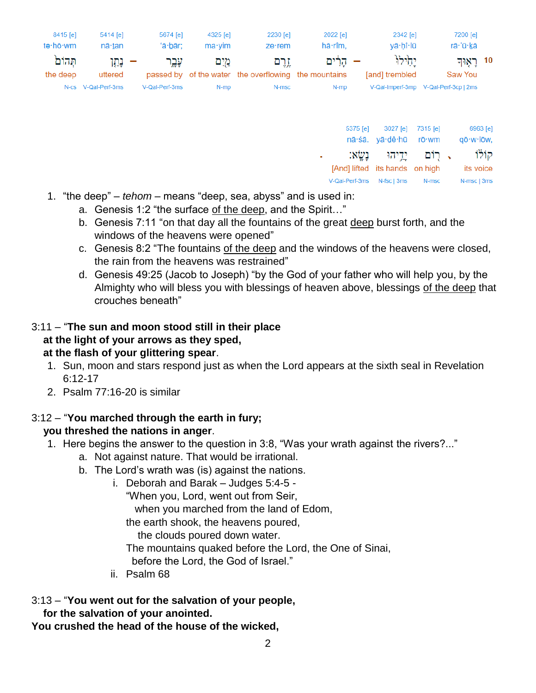| 8415 [e]<br>tə·hō·wm | 5414 [e]<br>nā∙tan  | 5674 [e]<br>'ā·bār; | 4325 [e]<br>$ma \cdot \text{vim}$ | 2230 [e]<br>$ze$ ·rem                                         | 2022 [e]<br>hā·rîm. | 2342 [e]<br>vā hî lū     | 7200 [e]<br>rā 'ū kā                  |  |
|----------------------|---------------------|---------------------|-----------------------------------|---------------------------------------------------------------|---------------------|--------------------------|---------------------------------------|--|
| תהום<br>the deep     | – נמו<br>uttered    | עָבֶר               | מים                               | זֵרֵם<br>passed by of the water the overflowing the mountains | הרים                | יהילוּ<br>[and] trembled | ראָוּך $10$<br>Saw You                |  |
|                      | N-cs V-Qal-Perf-3ms | V-Qal-Perf-3ms      | N-mp                              | N-msc                                                         | N-mp                |                          | V-Qal-Imperf-3mp V-Qal-Perf-3cp   2ms |  |

|                                | 5375 [e] 3027 [e] 7315 [e] |       | 6963 [e]                       |
|--------------------------------|----------------------------|-------|--------------------------------|
|                                | nā·śā. yā·dê·hū rō·wm      |       | qō·w·lōw,                      |
|                                |                            |       | קוֹלוֹ , רוֹם יַדֵיהוּ נָשֶׂא: |
| [And] lifted its hands on high |                            |       | its voice                      |
| V-Qal-Perf-3ms N-fsc   3ms     |                            | N-msc | N-msc   3ms                    |

- 1. "the deep" *tehom* means "deep, sea, abyss" and is used in:
	- a. Genesis 1:2 "the surface of the deep, and the Spirit…"
	- b. Genesis 7:11 "on that day all the fountains of the great deep burst forth, and the windows of the heavens were opened"
	- c. Genesis 8:2 "The fountains of the deep and the windows of the heavens were closed, the rain from the heavens was restrained"
	- d. Genesis 49:25 (Jacob to Joseph) "by the God of your father who will help you, by the Almighty who will bless you with blessings of heaven above, blessings of the deep that crouches beneath"

## 3:11 – "**The sun and moon stood still in their place at the light of your arrows as they sped, at the flash of your glittering spear**.

- 1. Sun, moon and stars respond just as when the Lord appears at the sixth seal in Revelation 6:12-17
- 2. Psalm 77:16-20 is similar

## 3:12 – "**You marched through the earth in fury;**

## **you threshed the nations in anger**.

- 1. Here begins the answer to the question in 3:8, "Was your wrath against the rivers?..."
	- a. Not against nature. That would be irrational.
	- b. The Lord's wrath was (is) against the nations.
		- i. Deborah and Barak Judges 5:4-5 "When you, Lord, went out from Seir, when you marched from the land of Edom, the earth shook, the heavens poured, the clouds poured down water. The mountains quaked before the Lord, the One of Sinai, before the Lord, the God of Israel."
		- ii. Psalm 68

## 3:13 – "**You went out for the salvation of your people,**

 **for the salvation of your anointed.**

**You crushed the head of the house of the wicked,**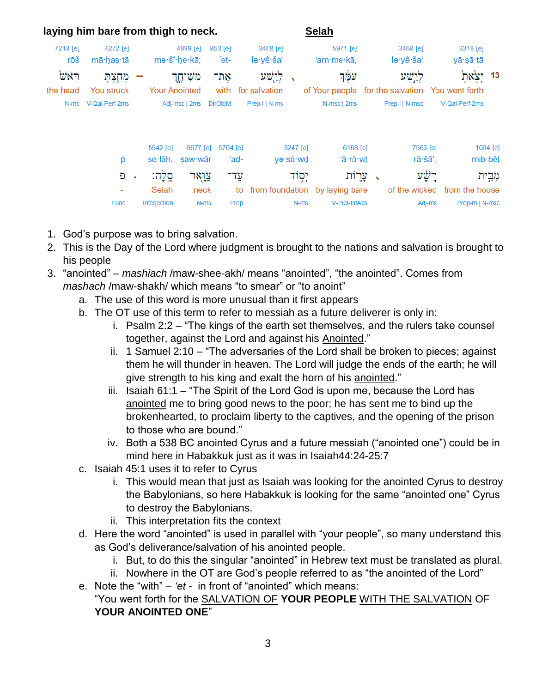|                 | laying him bare from thigh to neck. |              |                          |                 |                       |          | <b>Selah</b>                   |   |                       |                                                 |          |
|-----------------|-------------------------------------|--------------|--------------------------|-----------------|-----------------------|----------|--------------------------------|---|-----------------------|-------------------------------------------------|----------|
| 7218 [e]<br>rōš | 4272 [e]<br>mā∙has∙tā               |              | 4899 [e]<br>mə šî he kā; | 853 [e]<br>'eṯ- | 3468 [e]<br>lə·yê·ša' |          | 5971 [e]<br>'am·me·kā,         |   | 3468 [e]<br>lə·yê·ša' | 3318 [e]<br>yā∙sā∙ <u>t</u> ā                   |          |
| ויֹאשׂ          | מָחַצְתָ                            |              | מְשִׁיחֱך                | אַת־            | לְיָשׁע               |          | עמֵד                           |   | לישע                  |                                                 | 13       |
| the head        | <b>You struck</b>                   |              | <b>Your Anointed</b>     | with            | for salvation         |          |                                |   |                       | of Your people for the salvation You went forth |          |
| $N$ -ms         | V-Qal-Perf-2ms                      |              | Adj-msc   2ms            | <b>DirObiM</b>  | Prep-I   N-ms         |          | N-msc   2ms                    |   | Prep-I   N-msc        | V-Qal-Perf-2ms                                  |          |
|                 |                                     | 5542 [e]     | 6677 [e]                 | 5704 [e]        |                       | 3247 [e] | 6168 [e]                       |   | 7563 [e]              |                                                 | 1004 [e] |
|                 | p                                   | se·lāh.      | saw·wār                  | 'ad-            |                       | yə·sō·wd | 'ā·rō·wt                       |   | rā·šā'.               |                                                 | mib bêt  |
|                 | Đ                                   | סלה:<br>٠    | צואר                     | עד־             |                       | יִסְוֹד  | עֲרֵוֹת                        | ↖ |                       |                                                 | מְבֵית   |
|                 |                                     | Selah        | neck                     | to              |                       |          | from foundation by laying bare |   | of the wicked         | from the house                                  |          |
|                 | Punc                                | Interjection | N-ms                     | Prep            |                       | N-ms     | V-Piel-InfAbs                  |   | Adj-ms                | Prep-m   N-msc                                  |          |

- 1. God's purpose was to bring salvation.
- 2. This is the Day of the Lord where judgment is brought to the nations and salvation is brought to his people
- 3. "anointed" *mashiach* /maw-shee-akh/ means "anointed", "the anointed". Comes from *mashach* /maw-shakh/ which means "to smear" or "to anoint"
	- a. The use of this word is more unusual than it first appears
	- b. The OT use of this term to refer to messiah as a future deliverer is only in:
		- i. Psalm 2:2 "The kings of the earth set themselves, and the rulers take counsel together, against the Lord and against his Anointed."
		- ii. 1 Samuel 2:10 "The adversaries of the Lord shall be broken to pieces; against them he will thunder in heaven. The Lord will judge the ends of the earth; he will give strength to his king and exalt the horn of his anointed."
		- iii. Isaiah 61:1 "The Spirit of the Lord God is upon me, because the Lord has anointed me to bring good news to the poor; he has sent me to bind up the brokenhearted, to proclaim liberty to the captives, and the opening of the prison to those who are bound."
		- iv. Both a 538 BC anointed Cyrus and a future messiah ("anointed one") could be in mind here in Habakkuk just as it was in Isaiah44:24-25:7
	- c. Isaiah 45:1 uses it to refer to Cyrus
		- i. This would mean that just as Isaiah was looking for the anointed Cyrus to destroy the Babylonians, so here Habakkuk is looking for the same "anointed one" Cyrus to destroy the Babylonians.
		- ii. This interpretation fits the context
	- d. Here the word "anointed" is used in parallel with "your people", so many understand this as God's deliverance/salvation of his anointed people.
		- i. But, to do this the singular "anointed" in Hebrew text must be translated as plural.
		- ii. Nowhere in the OT are God's people referred to as "the anointed of the Lord"
	- e. Note the "with" *'et* in front of "anointed" which means:

#### "You went forth for the SALVATION OF **YOUR PEOPLE** WITH THE SALVATION OF **YOUR ANOINTED ONE**"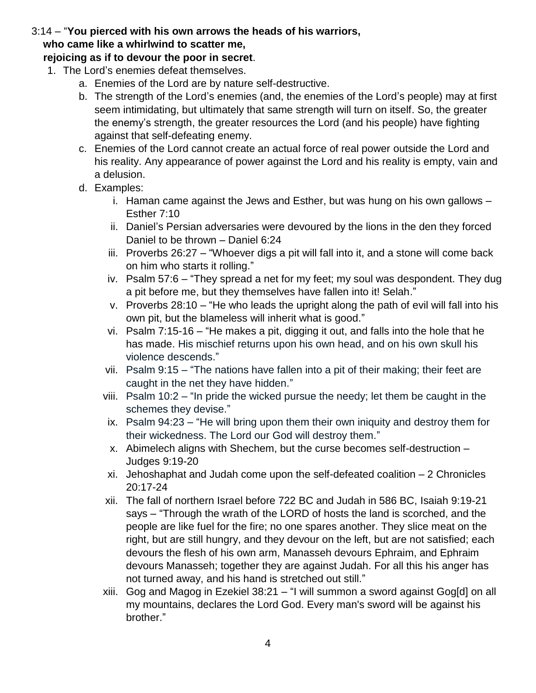## 3:14 – "**You pierced with his own arrows the heads of his warriors, who came like a whirlwind to scatter me,**

#### **rejoicing as if to devour the poor in secret**.

- 1. The Lord's enemies defeat themselves.
	- a. Enemies of the Lord are by nature self-destructive.
	- b. The strength of the Lord's enemies (and, the enemies of the Lord's people) may at first seem intimidating, but ultimately that same strength will turn on itself. So, the greater the enemy's strength, the greater resources the Lord (and his people) have fighting against that self-defeating enemy.
	- c. Enemies of the Lord cannot create an actual force of real power outside the Lord and his reality. Any appearance of power against the Lord and his reality is empty, vain and a delusion.
	- d. Examples:
		- i. Haman came against the Jews and Esther, but was hung on his own gallows Esther 7:10
		- ii. Daniel's Persian adversaries were devoured by the lions in the den they forced Daniel to be thrown – Daniel 6:24
		- iii. Proverbs 26:27 "Whoever digs a pit will fall into it, and a stone will come back on him who starts it rolling."
		- iv. Psalm 57:6 "They spread a net for my feet; my soul was despondent. They dug a pit before me, but they themselves have fallen into it! Selah."
		- v. Proverbs 28:10 "He who leads the upright along the path of evil will fall into his own pit, but the blameless will inherit what is good."
		- vi. Psalm 7:15-16 "He makes a pit, digging it out, and falls into the hole that he has made. His mischief returns upon his own head, and on his own skull his violence descends."
		- vii. Psalm 9:15 "The nations have fallen into a pit of their making; their feet are caught in the net they have hidden."
		- viii. Psalm 10:2 "In pride the wicked pursue the needy; let them be caught in the schemes they devise."
		- ix. Psalm 94:23 "He will bring upon them their own iniquity and destroy them for their wickedness. The Lord our God will destroy them."
		- x. Abimelech aligns with Shechem, but the curse becomes self-destruction Judges 9:19-20
		- xi. Jehoshaphat and Judah come upon the self-defeated coalition 2 Chronicles 20:17-24
		- xii. The fall of northern Israel before 722 BC and Judah in 586 BC, Isaiah 9:19-21 says – "Through the wrath of the LORD of hosts the land is scorched, and the people are like fuel for the fire; no one spares another. They slice meat on the right, but are still hungry, and they devour on the left, but are not satisfied; each devours the flesh of his own arm, Manasseh devours Ephraim, and Ephraim devours Manasseh; together they are against Judah. For all this his anger has not turned away, and his hand is stretched out still."
		- xiii. Gog and Magog in Ezekiel 38:21 "I will summon a sword against Gog[d] on all my mountains, declares the Lord God. Every man's sword will be against his brother."